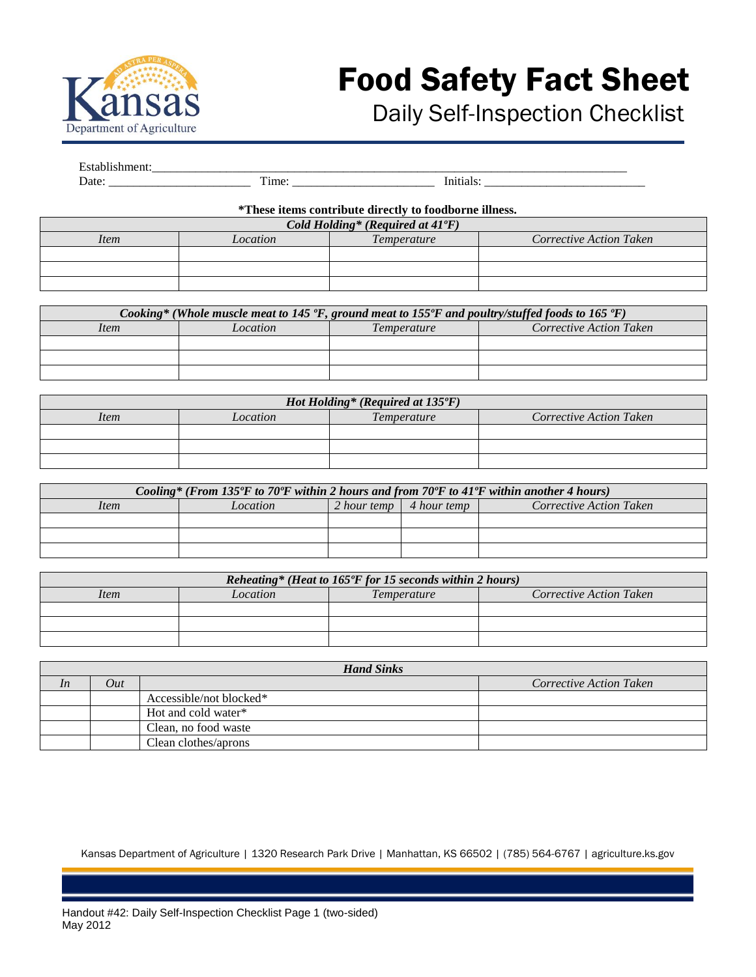

## Food Safety Fact Sheet

## Daily Self-Inspection Checklist

| ________                 |                                        |                                   |
|--------------------------|----------------------------------------|-----------------------------------|
| ________________________ | <br>-<br>_____________________________ | _______________________<br>______ |

## **\*These items contribute directly to foodborne illness.**

| Cold Holding* (Required at 41°F) |                                |  |  |
|----------------------------------|--------------------------------|--|--|
| Item                             | <b>Corrective Action Taken</b> |  |  |
|                                  |                                |  |  |
|                                  |                                |  |  |
|                                  |                                |  |  |

| Cooking* (Whole muscle meat to 145 $\degree$ F, ground meat to 155 $\degree$ F and poultry/stuffed foods to 165 $\degree$ F) |          |                    |                         |
|------------------------------------------------------------------------------------------------------------------------------|----------|--------------------|-------------------------|
| <i>Item</i>                                                                                                                  | Location | <i>Temperature</i> | Corrective Action Taken |
|                                                                                                                              |          |                    |                         |
|                                                                                                                              |          |                    |                         |
|                                                                                                                              |          |                    |                         |

| Hot Holding* (Required at $135^{\circ}F$ ) |          |             |                         |
|--------------------------------------------|----------|-------------|-------------------------|
| Item                                       | Location | Temperature | Corrective Action Taken |
|                                            |          |             |                         |
|                                            |          |             |                         |
|                                            |          |             |                         |

| Cooling* (From 135°F to 70°F within 2 hours and from 70°F to 41°F within another 4 hours) |          |  |                                 |                         |
|-------------------------------------------------------------------------------------------|----------|--|---------------------------------|-------------------------|
| <i>Item</i>                                                                               | Location |  | 2 hour temp $\vert$ 4 hour temp | Corrective Action Taken |
|                                                                                           |          |  |                                 |                         |
|                                                                                           |          |  |                                 |                         |
|                                                                                           |          |  |                                 |                         |

| Reheating* (Heat to 165°F for 15 seconds within 2 hours) |          |                    |                         |  |
|----------------------------------------------------------|----------|--------------------|-------------------------|--|
| <i>Item</i>                                              | Location | <i>Temperature</i> | Corrective Action Taken |  |
|                                                          |          |                    |                         |  |
|                                                          |          |                    |                         |  |
|                                                          |          |                    |                         |  |

|    | <b>Hand Sinks</b> |                         |                                |  |
|----|-------------------|-------------------------|--------------------------------|--|
| In | Out               |                         | <b>Corrective Action Taken</b> |  |
|    |                   | Accessible/not blocked* |                                |  |
|    |                   | Hot and cold water*     |                                |  |
|    |                   | Clean, no food waste    |                                |  |
|    |                   | Clean clothes/aprons    |                                |  |

Kansas Department of Agriculture | 1320 Research Park Drive | Manhattan, KS 66502 | (785) 564-6767 | agriculture.ks.gov